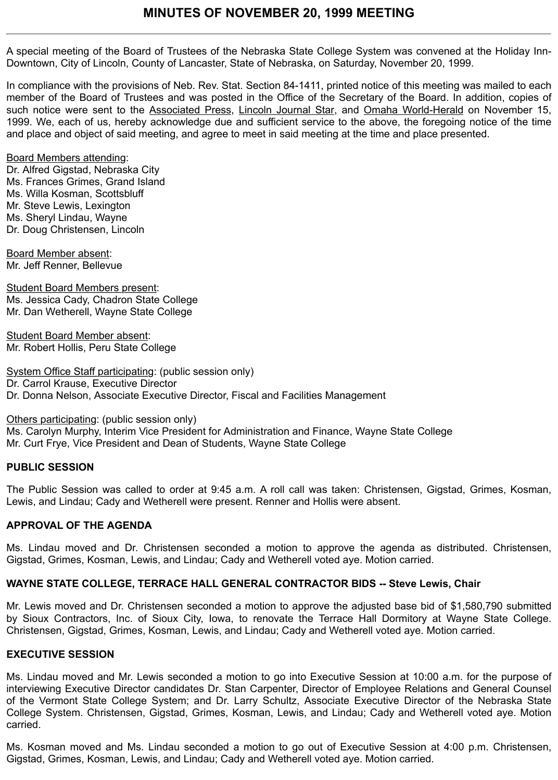A special meeting of the Board of Trustees of the Nebraska State College System was convened at the Holiday Inn-Downtown, City of Lincoln, County of Lancaster, State of Nebraska, on Saturday, November 20, 1999.

In compliance with the provisions of Neb. Rev. Stat. Section 84-1411, printed notice of this meeting was mailed to each member of the Board of Trustees and was posted in the Office of the Secretary of the Board. In addition, copies of such notice were sent to the Associated Press, Lincoln Journal Star, and Omaha World-Herald on November 15, 1999. We, each of us, hereby acknowledge due and sufficient service to the above, the foregoing notice of the time and place and object of said meeting, and agree to meet in said meeting at the time and place presented.

### Board Members attending:

Dr. Alfred Gigstad, Nebraska City Ms. Frances Grimes, Grand Island Ms. Willa Kosman, Scottsbluff Mr. Steve Lewis, Lexington Ms. Sheryl Lindau, Wayne Dr. Doug Christensen, Lincoln

Board Member absent: Mr. Jeff Renner, Bellevue

Student Board Members present: Ms. Jessica Cady, Chadron State College Mr. Dan Wetherell, Wayne State College

Student Board Member absent: Mr. Robert Hollis, Peru State College

System Office Staff participating: (public session only) Dr. Carrol Krause, Executive Director Dr. Donna Nelson, Associate Executive Director, Fiscal and Facilities Management

Others participating: (public session only) Ms. Carolyn Murphy, Interim Vice President for Administration and Finance, Wayne State College Mr. Curt Frye, Vice President and Dean of Students, Wayne State College

# **PUBLIC SESSION**

The Public Session was called to order at 9:45 a.m. A roll call was taken: Christensen, Gigstad, Grimes, Kosman, Lewis, and Lindau; Cady and Wetherell were present. Renner and Hollis were absent.

# **APPROVAL OF THE AGENDA**

Ms. Lindau moved and Dr. Christensen seconded a motion to approve the agenda as distributed. Christensen, Gigstad, Grimes, Kosman, Lewis, and Lindau; Cady and Wetherell voted aye. Motion carried.

# **WAYNE STATE COLLEGE, TERRACE HALL GENERAL CONTRACTOR BIDS -- Steve Lewis, Chair**

Mr. Lewis moved and Dr. Christensen seconded a motion to approve the adjusted base bid of \$1,580,790 submitted by Sioux Contractors, Inc. of Sioux City, Iowa, to renovate the Terrace Hall Dormitory at Wayne State College. Christensen, Gigstad, Grimes, Kosman, Lewis, and Lindau; Cady and Wetherell voted aye. Motion carried.

### **EXECUTIVE SESSION**

Ms. Lindau moved and Mr. Lewis seconded a motion to go into Executive Session at 10:00 a.m. for the purpose of interviewing Executive Director candidates Dr. Stan Carpenter, Director of Employee Relations and General Counsel of the Vermont State College System; and Dr. Larry Schultz, Associate Executive Director of the Nebraska State College System. Christensen, Gigstad, Grimes, Kosman, Lewis, and Lindau; Cady and Wetherell voted aye. Motion carried.

Ms. Kosman moved and Ms. Lindau seconded a motion to go out of Executive Session at 4:00 p.m. Christensen, Gigstad, Grimes, Kosman, Lewis, and Lindau; Cady and Wetherell voted aye. Motion carried.